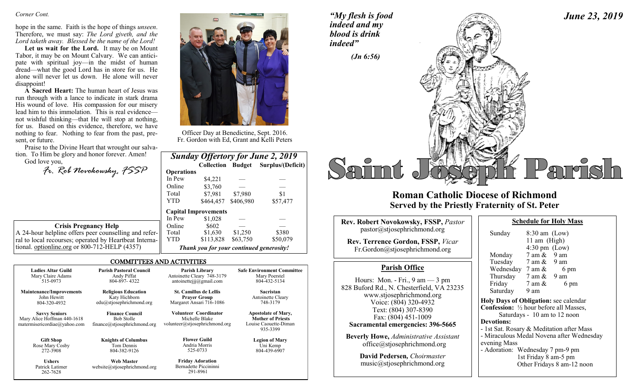#### *Corner Cont.*

hope in the same. Faith is the hope of things *unseen*. Therefore, we must say: *The Lord giveth, and the Lord taketh away. Blessed be the name of the Lord!*

**Let us wait for the Lord.** It may be on Mount Tabor, it may be on Mount Calvary. We can anticipate with spiritual joy—in the midst of human dread—what the good Lord has in store for us. He alone will never let us down. He alone will never disappoint!

**A Sacred Heart:** The human heart of Jesus was run through with a lance to indicate in stark drama His wound of love. His compassion for our misery lead him to this immolation. This is real evidence not wishful thinking—that He will stop at nothing, for us. Based on this evidence, therefore, we have nothing to fear. Nothing to fear from the past, present, or future.

Praise to the Divine Heart that wrought our salvation. To Him be glory and honor forever. Amen! God love you,

*Fr. Rob Novokowsky, FSSP* 

|                                         | <b>Crisis Pregnancy Help</b> |  |
|-----------------------------------------|------------------------------|--|
| $\mu$ holpling offers near counselling. |                              |  |

A 24-hour helpline offers peer counselling and referral to local recourses; operated by Heartbeat International. optionline.org or 800-712-HELP (4357)

262-7628

#### COMMITTEES AND ACTIVITIES

| <b>Ladies Altar Guild</b>                                                           | <b>Parish Pastoral Council</b>                                              | <b>Parish Library</b>                                                     | <b>Safe Environment Committee</b>                                                           |
|-------------------------------------------------------------------------------------|-----------------------------------------------------------------------------|---------------------------------------------------------------------------|---------------------------------------------------------------------------------------------|
| Mary Claire Adams                                                                   | Andy Piffat                                                                 | Antoinette Cleary 748-3179                                                | Mary Poerstel                                                                               |
| 515-0973                                                                            | 804-897-4322                                                                | antoinetteijj@gmail.com                                                   | 804-432-5134                                                                                |
| <b>Maintenance/Improvements</b>                                                     | <b>Religious Education</b>                                                  | <b>St. Camillus de Lellis</b>                                             | Sacristan                                                                                   |
| John Hewitt                                                                         | Katy Hichborn                                                               | <b>Praver Group</b>                                                       | Antoinette Cleary                                                                           |
| 804-320-4932                                                                        | edu@stjosephrichmond.org                                                    | Margaret Ansari 716-1086                                                  | 748-3179                                                                                    |
| <b>Savvy Seniors</b><br>Mary Alice Hoffman 440-1618<br>matermisericordiae@yahoo.com | <b>Finance Council</b><br><b>Bob Stolle</b><br>finance@stjosephrichmond.org | Volunteer Coordinator<br>Michelle Blake<br>volunteer@stjosephrichmond.org | <b>Apostolate of Mary,</b><br><b>Mother of Priests</b><br>Louise Caouette-Diman<br>935-3399 |
| <b>Gift Shop</b>                                                                    | <b>Knights of Columbus</b>                                                  | <b>Flower Guild</b>                                                       | <b>Legion of Mary</b>                                                                       |
| Rose Mary Cosby                                                                     | Tom Dennis                                                                  | Andria Morris                                                             | Uni Kemp                                                                                    |
| 272-3908                                                                            | 804-382-9126                                                                | 525-0733                                                                  | 804-439-6907                                                                                |
| <b>Ushers</b>                                                                       | <b>Web Master</b>                                                           | <b>Friday Adoration</b>                                                   |                                                                                             |
| Patrick Latimer                                                                     | website@stiosephrichmond.org                                                | Bernadette Piccininni                                                     |                                                                                             |

291-8961



Officer Day at Benedictine, Sept. 2016. Fr. Gordon with Ed, Grant and Kelli Peters

|                   |                                          |           | <b>Sunday Offertory for June 2, 2019</b> |
|-------------------|------------------------------------------|-----------|------------------------------------------|
|                   | <b>Collection Budget</b>                 |           | Surplus/(Deficit)                        |
| <b>Operations</b> |                                          |           |                                          |
| In Pew            | \$4,221                                  |           |                                          |
| Online            | \$3,760                                  |           |                                          |
| Total             | \$7,981                                  | \$7,980   | \$1                                      |
| <b>YTD</b>        | \$464,457                                | \$406,980 | \$57,477                                 |
|                   | <b>Capital Improvements</b>              |           |                                          |
| In Pew            | \$1,028                                  |           |                                          |
| Online            | \$602                                    |           |                                          |
| Total             | \$1,630                                  | \$1,250   | \$380                                    |
| <b>YTD</b>        | \$113,828                                | \$63,750  | \$50,079                                 |
|                   | Thank you for your continued generosity! |           |                                          |

*"My flesh is food indeed and my blood is drink indeed"*



## **Roman Catholic Diocese of Richmond Served by the Priestly Fraternity of St. Peter**

| <b>Rev. Robert Novokowsky, FSSP, Pastor</b>                                                                | <b>Schedule for Holy Mass</b>                                                                                               |  |
|------------------------------------------------------------------------------------------------------------|-----------------------------------------------------------------------------------------------------------------------------|--|
| pastor @stjosephrichmond.org<br><b>Rev. Terrence Gordon, FSSP, Vicar</b><br>Fr.Gordon@stjosephrichmond.org | Sunday<br>$8:30$ am (Low)<br>11 am $(High)$<br>$4:30 \text{ pm}$ (Low)<br>$7 \text{ am } \& 9 \text{ am}$<br>Monday         |  |
| <b>Parish Office</b><br>Hours: Mon. - Fri., $9 \text{ am} - 3 \text{ pm}$                                  | Tuesday 7 am & 9 am<br>Wednesday $7 \text{ am } \&$<br>6 pm<br>Thursday $7 \text{ am } \& 9 \text{ am}$<br>Friday<br>7 am & |  |
| 828 Buford Rd., N. Chesterfield, VA 23235<br>www.stjosephrichmond.org                                      | 6 pm<br>Saturday<br>9 am<br>Holy Days of Obligation: see calenda                                                            |  |
| Voice: (804) 320-4932<br>Text: (804) 307-8390<br>Fax: (804) 451-1009                                       | <b>Confession:</b> 1/2 hour before all Masses<br>Saturdays - 10 am to 12 noon                                               |  |
| Sacramental emergencies: 396-5665<br><b>Beverly Howe, Administrative Assistant</b>                         | <b>Devotions:</b><br>- 1st Sat. Rosary & Meditation after M<br>- Miraculous Medal Novena after Wed                          |  |
| office@stjosephrichmond.org<br>Dovid Podorson Choirmastor                                                  | evening Mass<br>- Adoration: Wednesday 7 pm-9 pm<br>$1.4 \text{ F}$ . $1.3 \text{ F}$ . $0.5 \text{ F}$ . $1.5 \text{ F}$   |  |

**David Pedersen***, Choirmaster* music@stjosephrichmond.org

| Sunday                                                   | $8:30$ am (Low)                 |                                        |
|----------------------------------------------------------|---------------------------------|----------------------------------------|
|                                                          | 11 am (High)                    |                                        |
|                                                          | $4:30 \text{ pm}$ (Low)         |                                        |
| Monday                                                   | $7 \text{ am } \& 9 \text{ am}$ |                                        |
| Tuesday                                                  | $7 \text{ am } \& 9 \text{ am}$ |                                        |
| Wednesday $7 \text{ am } \&$                             |                                 | 6 pm                                   |
| Thursday                                                 | $7 \text{ am } \& 9 \text{ am}$ |                                        |
| Friday                                                   | 7 am &                          | 6 pm                                   |
| Saturday                                                 | 9 am                            |                                        |
| <b>Holy Days of Obligation: see calendar</b>             |                                 |                                        |
| <b>Confession:</b> $\frac{1}{2}$ hour before all Masses, |                                 |                                        |
|                                                          |                                 | Saturdays - 10 am to 12 noon           |
| Devotions:                                               |                                 |                                        |
| - 1st Sat. Rosary & Meditation after Mass                |                                 |                                        |
|                                                          |                                 | Mineaulaus Model Newano often Wednesda |

*June 23, 2019*

s Medal Novena after Wednesday evening Mass

Wednesday 7 pm-9 pm 1st Friday 8 am-5 pm Other Fridays 8 am-12 noon